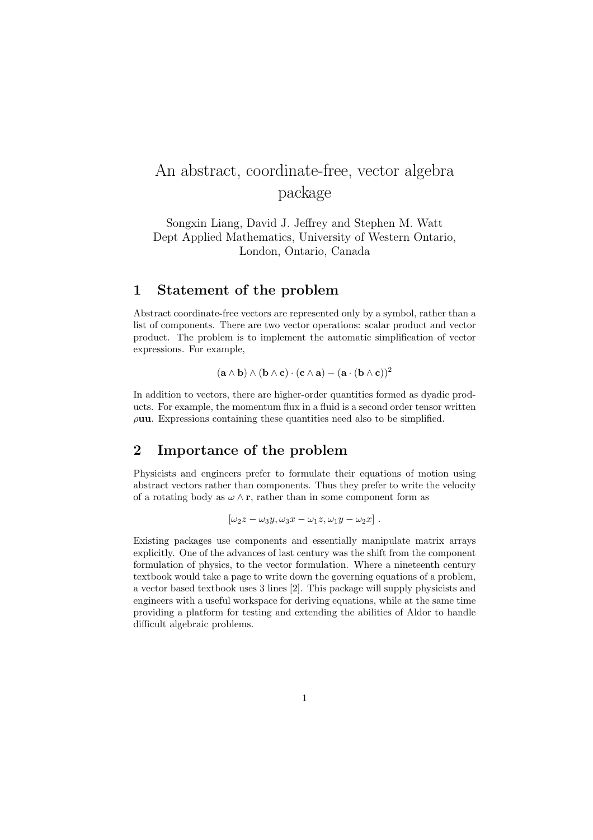# An abstract, coordinate-free, vector algebra package

Songxin Liang, David J. Jeffrey and Stephen M. Watt Dept Applied Mathematics, University of Western Ontario, London, Ontario, Canada

#### 1 Statement of the problem

Abstract coordinate-free vectors are represented only by a symbol, rather than a list of components. There are two vector operations: scalar product and vector product. The problem is to implement the automatic simplification of vector expressions. For example,

$$
(\mathbf{a} \wedge \mathbf{b}) \wedge (\mathbf{b} \wedge \mathbf{c}) \cdot (\mathbf{c} \wedge \mathbf{a}) - (\mathbf{a} \cdot (\mathbf{b} \wedge \mathbf{c}))^2
$$

In addition to vectors, there are higher-order quantities formed as dyadic products. For example, the momentum flux in a fluid is a second order tensor written  $\rho$ uu. Expressions containing these quantities need also to be simplified.

## 2 Importance of the problem

Physicists and engineers prefer to formulate their equations of motion using abstract vectors rather than components. Thus they prefer to write the velocity of a rotating body as  $\omega \wedge \mathbf{r}$ , rather than in some component form as

$$
[\omega_2 z - \omega_3 y, \omega_3 x - \omega_1 z, \omega_1 y - \omega_2 x].
$$

Existing packages use components and essentially manipulate matrix arrays explicitly. One of the advances of last century was the shift from the component formulation of physics, to the vector formulation. Where a nineteenth century textbook would take a page to write down the governing equations of a problem, a vector based textbook uses 3 lines [2]. This package will supply physicists and engineers with a useful workspace for deriving equations, while at the same time providing a platform for testing and extending the abilities of Aldor to handle difficult algebraic problems.